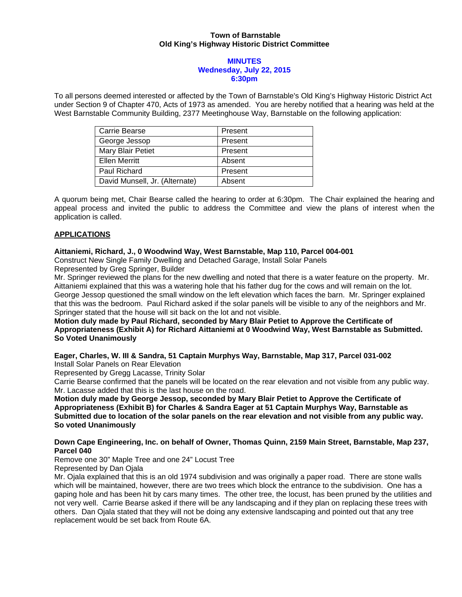# **Town of Barnstable Old King's Highway Historic District Committee**

### **MINUTES Wednesday, July 22, 2015 6:30pm**

To all persons deemed interested or affected by the Town of Barnstable's Old King's Highway Historic District Act under Section 9 of Chapter 470, Acts of 1973 as amended. You are hereby notified that a hearing was held at the West Barnstable Community Building, 2377 Meetinghouse Way, Barnstable on the following application:

| Carrie Bearse                  | Present |
|--------------------------------|---------|
| George Jessop                  | Present |
| Mary Blair Petiet              | Present |
| <b>Ellen Merritt</b>           | Absent  |
| Paul Richard                   | Present |
| David Munsell, Jr. (Alternate) | Absent  |

A quorum being met, Chair Bearse called the hearing to order at 6:30pm. The Chair explained the hearing and appeal process and invited the public to address the Committee and view the plans of interest when the application is called.

# **APPLICATIONS**

# **Aittaniemi, Richard, J., 0 Woodwind Way, West Barnstable, Map 110, Parcel 004-001**

Construct New Single Family Dwelling and Detached Garage, Install Solar Panels Represented by Greg Springer, Builder

Mr. Springer reviewed the plans for the new dwelling and noted that there is a water feature on the property. Mr. Aittaniemi explained that this was a watering hole that his father dug for the cows and will remain on the lot. George Jessop questioned the small window on the left elevation which faces the barn. Mr. Springer explained that this was the bedroom. Paul Richard asked if the solar panels will be visible to any of the neighbors and Mr. Springer stated that the house will sit back on the lot and not visible.

# **Motion duly made by Paul Richard, seconded by Mary Blair Petiet to Approve the Certificate of Appropriateness (Exhibit A) for Richard Aittaniemi at 0 Woodwind Way, West Barnstable as Submitted. So Voted Unanimously**

# **Eager, Charles, W. III & Sandra, 51 Captain Murphys Way, Barnstable, Map 317, Parcel 031-002**  Install Solar Panels on Rear Elevation

Represented by Gregg Lacasse, Trinity Solar

Carrie Bearse confirmed that the panels will be located on the rear elevation and not visible from any public way. Mr. Lacasse added that this is the last house on the road.

**Motion duly made by George Jessop, seconded by Mary Blair Petiet to Approve the Certificate of Appropriateness (Exhibit B) for Charles & Sandra Eager at 51 Captain Murphys Way, Barnstable as Submitted due to location of the solar panels on the rear elevation and not visible from any public way. So voted Unanimously** 

# **Down Cape Engineering, Inc. on behalf of Owner, Thomas Quinn, 2159 Main Street, Barnstable, Map 237, Parcel 040**

Remove one 30" Maple Tree and one 24" Locust Tree Represented by Dan Ojala

Mr. Ojala explained that this is an old 1974 subdivision and was originally a paper road. There are stone walls which will be maintained, however, there are two trees which block the entrance to the subdivision. One has a gaping hole and has been hit by cars many times. The other tree, the locust, has been pruned by the utilities and not very well. Carrie Bearse asked if there will be any landscaping and if they plan on replacing these trees with others. Dan Ojala stated that they will not be doing any extensive landscaping and pointed out that any tree replacement would be set back from Route 6A.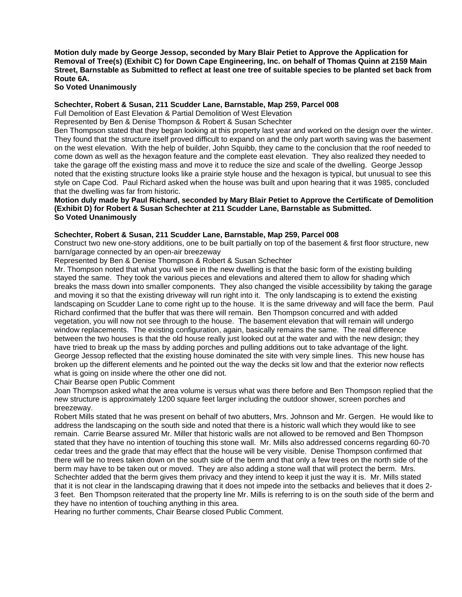**Motion duly made by George Jessop, seconded by Mary Blair Petiet to Approve the Application for Removal of Tree(s) (Exhibit C) for Down Cape Engineering, Inc. on behalf of Thomas Quinn at 2159 Main Street, Barnstable as Submitted to reflect at least one tree of suitable species to be planted set back from Route 6A.** 

# **So Voted Unanimously**

# **Schechter, Robert & Susan, 211 Scudder Lane, Barnstable, Map 259, Parcel 008**

Full Demolition of East Elevation & Partial Demolition of West Elevation

Represented by Ben & Denise Thompson & Robert & Susan Schechter

Ben Thompson stated that they began looking at this property last year and worked on the design over the winter. They found that the structure itself proved difficult to expand on and the only part worth saving was the basement on the west elevation. With the help of builder, John Squibb, they came to the conclusion that the roof needed to come down as well as the hexagon feature and the complete east elevation. They also realized they needed to take the garage off the existing mass and move it to reduce the size and scale of the dwelling. George Jessop noted that the existing structure looks like a prairie style house and the hexagon is typical, but unusual to see this style on Cape Cod. Paul Richard asked when the house was built and upon hearing that it was 1985, concluded that the dwelling was far from historic.

#### **Motion duly made by Paul Richard, seconded by Mary Blair Petiet to Approve the Certificate of Demolition (Exhibit D) for Robert & Susan Schechter at 211 Scudder Lane, Barnstable as Submitted. So Voted Unanimously**

# **Schechter, Robert & Susan, 211 Scudder Lane, Barnstable, Map 259, Parcel 008**

Construct two new one-story additions, one to be built partially on top of the basement & first floor structure, new barn/garage connected by an open-air breezeway

Represented by Ben & Denise Thompson & Robert & Susan Schechter

Mr. Thompson noted that what you will see in the new dwelling is that the basic form of the existing building stayed the same. They took the various pieces and elevations and altered them to allow for shading which breaks the mass down into smaller components. They also changed the visible accessibility by taking the garage and moving it so that the existing driveway will run right into it. The only landscaping is to extend the existing landscaping on Scudder Lane to come right up to the house. It is the same driveway and will face the berm. Paul Richard confirmed that the buffer that was there will remain. Ben Thompson concurred and with added vegetation, you will now not see through to the house. The basement elevation that will remain will undergo window replacements. The existing configuration, again, basically remains the same. The real difference between the two houses is that the old house really just looked out at the water and with the new design; they have tried to break up the mass by adding porches and pulling additions out to take advantage of the light. George Jessop reflected that the existing house dominated the site with very simple lines. This new house has broken up the different elements and he pointed out the way the decks sit low and that the exterior now reflects what is going on inside where the other one did not.

Chair Bearse open Public Comment

Joan Thompson asked what the area volume is versus what was there before and Ben Thompson replied that the new structure is approximately 1200 square feet larger including the outdoor shower, screen porches and breezeway.

Robert Mills stated that he was present on behalf of two abutters, Mrs. Johnson and Mr. Gergen. He would like to address the landscaping on the south side and noted that there is a historic wall which they would like to see remain. Carrie Bearse assured Mr. Miller that historic walls are not allowed to be removed and Ben Thompson stated that they have no intention of touching this stone wall. Mr. Mills also addressed concerns regarding 60-70 cedar trees and the grade that may effect that the house will be very visible. Denise Thompson confirmed that there will be no trees taken down on the south side of the berm and that only a few trees on the north side of the berm may have to be taken out or moved. They are also adding a stone wall that will protect the berm. Mrs. Schechter added that the berm gives them privacy and they intend to keep it just the way it is. Mr. Mills stated that it is not clear in the landscaping drawing that it does not impede into the setbacks and believes that it does 2- 3 feet. Ben Thompson reiterated that the property line Mr. Mills is referring to is on the south side of the berm and they have no intention of touching anything in this area.

Hearing no further comments, Chair Bearse closed Public Comment.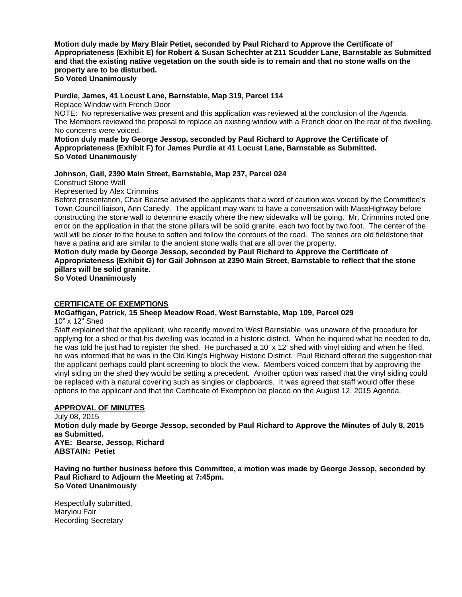**Motion duly made by Mary Blair Petiet, seconded by Paul Richard to Approve the Certificate of Appropriateness (Exhibit E) for Robert & Susan Schechter at 211 Scudder Lane, Barnstable as Submitted and that the existing native vegetation on the south side is to remain and that no stone walls on the property are to be disturbed.** 

**So Voted Unanimously** 

### **Purdie, James, 41 Locust Lane, Barnstable, Map 319, Parcel 114**

Replace Window with French Door

NOTE: No representative was present and this application was reviewed at the conclusion of the Agenda. The Members reviewed the proposal to replace an existing window with a French door on the rear of the dwelling. No concerns were voiced.

**Motion duly made by George Jessop, seconded by Paul Richard to Approve the Certificate of Appropriateness (Exhibit F) for James Purdie at 41 Locust Lane, Barnstable as Submitted. So Voted Unanimously** 

# **Johnson, Gail, 2390 Main Street, Barnstable, Map 237, Parcel 024**

Construct Stone Wall

Represented by Alex Crimmins

Before presentation, Chair Bearse advised the applicants that a word of caution was voiced by the Committee's Town Council liaison, Ann Canedy. The applicant may want to have a conversation with MassHighway before constructing the stone wall to determine exactly where the new sidewalks will be going. Mr. Crimmins noted one error on the application in that the stone pillars will be solid granite, each two foot by two foot. The center of the wall will be closer to the house to soften and follow the contours of the road. The stones are old fieldstone that have a patina and are similar to the ancient stone walls that are all over the property.

# **Motion duly made by George Jessop, seconded by Paul Richard to Approve the Certificate of Appropriateness (Exhibit G) for Gail Johnson at 2390 Main Street, Barnstable to reflect that the stone pillars will be solid granite.**

**So Voted Unanimously** 

#### **CERTIFICATE OF EXEMPTIONS**

# **McGaffigan, Patrick, 15 Sheep Meadow Road, West Barnstable, Map 109, Parcel 029**

10" x 12" Shed

Staff explained that the applicant, who recently moved to West Barnstable, was unaware of the procedure for applying for a shed or that his dwelling was located in a historic district. When he inquired what he needed to do, he was told he just had to register the shed. He purchased a 10' x 12' shed with vinyl siding and when he filed, he was informed that he was in the Old King's Highway Historic District. Paul Richard offered the suggestion that the applicant perhaps could plant screening to block the view. Members voiced concern that by approving the vinyl siding on the shed they would be setting a precedent. Another option was raised that the vinyl siding could be replaced with a natural covering such as singles or clapboards. It was agreed that staff would offer these options to the applicant and that the Certificate of Exemption be placed on the August 12, 2015 Agenda.

#### **APPROVAL OF MINUTES**

July 08, 2015 **Motion duly made by George Jessop, seconded by Paul Richard to Approve the Minutes of July 8, 2015 as Submitted. AYE: Bearse, Jessop, Richard ABSTAIN: Petiet** 

**Having no further business before this Committee, a motion was made by George Jessop, seconded by Paul Richard to Adjourn the Meeting at 7:45pm. So Voted Unanimously** 

Respectfully submitted, Marylou Fair Recording Secretary